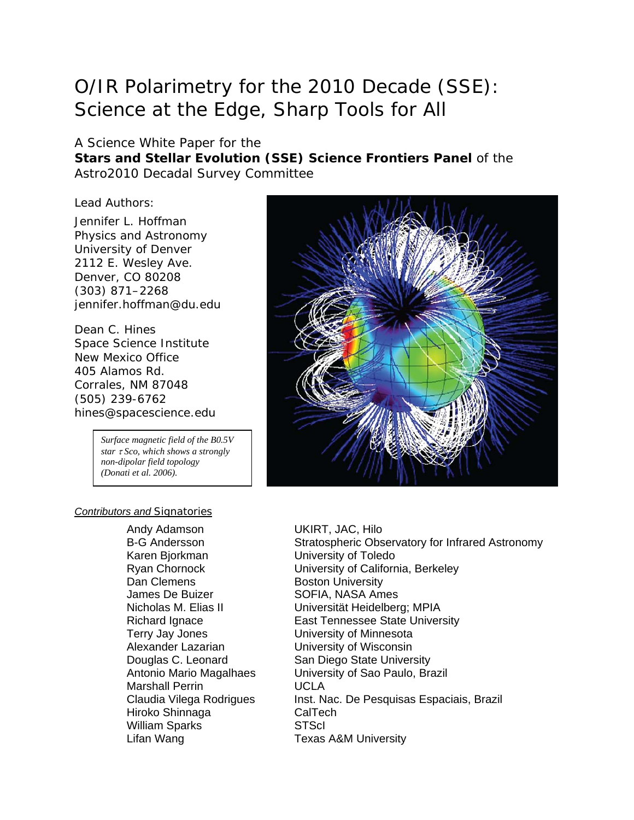# O/IR Polarimetry for the 2010 Decade (SSE): Science at the Edge, Sharp Tools for All

## A Science White Paper for the **Stars and Stellar Evolution (SSE) Science Frontiers Panel** of the Astro2010 Decadal Survey Committee

Lead Authors:

Jennifer L. Hoffman Physics and Astronomy University of Denver 2112 E. Wesley Ave. Denver, CO 80208 (303) 871–2268 jennifer.hoffman@du.edu

Dean C. Hines Space Science Institute New Mexico Office 405 Alamos Rd. Corrales, NM 87048 (505) 239-6762 hines@spacescience.edu

> *Surface magnetic field of the B0.5V star* τ *Sco, which shows a strongly non-dipolar field topology (Donati et al. 2006).*

#### *Contributors and Signatories*

Andy Adamson B-G Andersson Karen Bjorkman Ryan Chornock Dan Clemens James De Buizer Nicholas M. Elias II Terry Jay Jones University of Minnesota Alexander Lazarian Douglas C. Leonard Marshall Perrin UCLA Hiroko Shinnaga CalTech William Sparks Lifan Wang



UKIRT, JAC, Hilo Stratospheric Observatory for Infrared Astronomy University of Toledo University of California, Berkeley Boston University SOFIA, NASA Ames Universität Heidelberg; MPIA Richard Ignace **East Tennessee State University** University of Wisconsin San Diego State University Antonio Mario Magalhaes University of Sao Paulo, Brazil Claudia Vilega Rodrigues Inst. Nac. De Pesquisas Espaciais, Brazil **STScI** Texas A&M University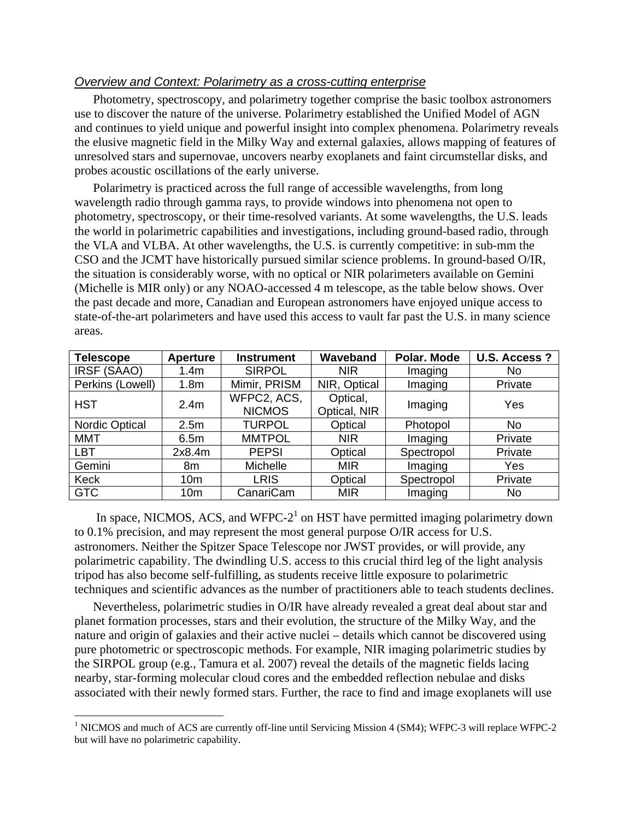## *Overview and Context: Polarimetry as a cross-cutting enterprise*

Photometry, spectroscopy, and polarimetry together comprise the basic toolbox astronomers use to discover the nature of the universe. Polarimetry established the Unified Model of AGN and continues to yield unique and powerful insight into complex phenomena. Polarimetry reveals the elusive magnetic field in the Milky Way and external galaxies, allows mapping of features of unresolved stars and supernovae, uncovers nearby exoplanets and faint circumstellar disks, and probes acoustic oscillations of the early universe.

Polarimetry is practiced across the full range of accessible wavelengths, from long wavelength radio through gamma rays, to provide windows into phenomena not open to photometry, spectroscopy, or their time-resolved variants. At some wavelengths, the U.S. leads the world in polarimetric capabilities and investigations, including ground-based radio, through the VLA and VLBA. At other wavelengths, the U.S. is currently competitive: in sub-mm the CSO and the JCMT have historically pursued similar science problems. In ground-based O/IR, the situation is considerably worse, with no optical or NIR polarimeters available on Gemini (Michelle is MIR only) or any NOAO-accessed 4 m telescope, as the table below shows. Over the past decade and more, Canadian and European astronomers have enjoyed unique access to state-of-the-art polarimeters and have used this access to vault far past the U.S. in many science areas.

| <b>Telescope</b>      | <b>Aperture</b>  | <b>Instrument</b>            | Waveband                 | Polar. Mode | U.S. Access?   |
|-----------------------|------------------|------------------------------|--------------------------|-------------|----------------|
| IRSF (SAAO)           | 1.4m             | <b>SIRPOL</b>                | <b>NIR</b>               | Imaging     | N <sub>o</sub> |
| Perkins (Lowell)      | 1.8 <sub>m</sub> | Mimir, PRISM                 | NIR, Optical             | Imaging     | Private        |
| <b>HST</b>            | 2.4 <sub>m</sub> | WFPC2, ACS,<br><b>NICMOS</b> | Optical,<br>Optical, NIR | Imaging     | Yes            |
| <b>Nordic Optical</b> | 2.5m             | <b>TURPOL</b>                | Optical                  | Photopol    | No             |
| <b>MMT</b>            | 6.5m             | <b>MMTPOL</b>                | <b>NIR</b>               | Imaging     | Private        |
| <b>LBT</b>            | 2x8.4m           | <b>PEPSI</b>                 | Optical                  | Spectropol  | Private        |
| Gemini                | 8m               | Michelle                     | <b>MIR</b>               | Imaging     | Yes            |
| Keck                  | 10 <sub>m</sub>  | <b>LRIS</b>                  | Optical                  | Spectropol  | Private        |
| <b>GTC</b>            | 10 <sub>m</sub>  | CanariCam                    | <b>MIR</b>               | Imaging     | No             |

In space, NICMOS, ACS, and WFPC- $2<sup>1</sup>$  on HST have permitted imaging polarimetry down to 0.1% precision, and may represent the most general purpose O/IR access for U.S. astronomers. Neither the Spitzer Space Telescope nor JWST provides, or will provide, any polarimetric capability. The dwindling U.S. access to this crucial third leg of the light analysis tripod has also become self-fulfilling, as students receive little exposure to polarimetric techniques and scientific advances as the number of practitioners able to teach students declines.

Nevertheless, polarimetric studies in O/IR have already revealed a great deal about star and planet formation processes, stars and their evolution, the structure of the Milky Way, and the nature and origin of galaxies and their active nuclei – details which cannot be discovered using pure photometric or spectroscopic methods. For example, NIR imaging polarimetric studies by the SIRPOL group (e.g., Tamura et al. 2007) reveal the details of the magnetic fields lacing nearby, star-forming molecular cloud cores and the embedded reflection nebulae and disks associated with their newly formed stars. Further, the race to find and image exoplanets will use

 $\overline{a}$ 

<sup>&</sup>lt;sup>1</sup> NICMOS and much of ACS are currently off-line until Servicing Mission 4 (SM4); WFPC-3 will replace WFPC-2 but will have no polarimetric capability.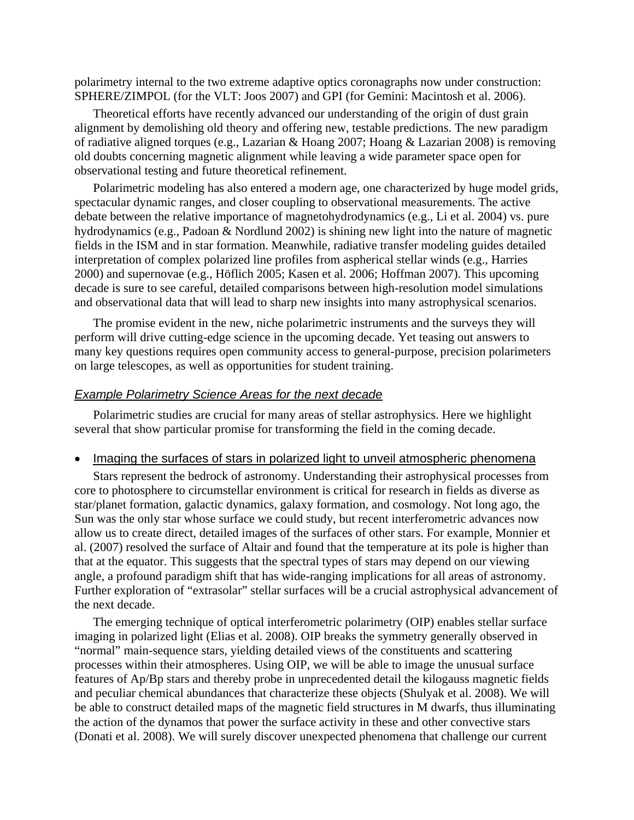polarimetry internal to the two extreme adaptive optics coronagraphs now under construction: SPHERE/ZIMPOL (for the VLT: Joos 2007) and GPI (for Gemini: Macintosh et al. 2006).

Theoretical efforts have recently advanced our understanding of the origin of dust grain alignment by demolishing old theory and offering new, testable predictions. The new paradigm of radiative aligned torques (e.g., Lazarian & Hoang 2007; Hoang & Lazarian 2008) is removing old doubts concerning magnetic alignment while leaving a wide parameter space open for observational testing and future theoretical refinement.

Polarimetric modeling has also entered a modern age, one characterized by huge model grids, spectacular dynamic ranges, and closer coupling to observational measurements. The active debate between the relative importance of magnetohydrodynamics (e.g., Li et al. 2004) vs. pure hydrodynamics (e.g., Padoan & Nordlund 2002) is shining new light into the nature of magnetic fields in the ISM and in star formation. Meanwhile, radiative transfer modeling guides detailed interpretation of complex polarized line profiles from aspherical stellar winds (e.g., Harries 2000) and supernovae (e.g., Höflich 2005; Kasen et al. 2006; Hoffman 2007). This upcoming decade is sure to see careful, detailed comparisons between high-resolution model simulations and observational data that will lead to sharp new insights into many astrophysical scenarios.

The promise evident in the new, niche polarimetric instruments and the surveys they will perform will drive cutting-edge science in the upcoming decade. Yet teasing out answers to many key questions requires open community access to general-purpose, precision polarimeters on large telescopes, as well as opportunities for student training.

#### *Example Polarimetry Science Areas for the next decade*

Polarimetric studies are crucial for many areas of stellar astrophysics. Here we highlight several that show particular promise for transforming the field in the coming decade.

#### • Imaging the surfaces of stars in polarized light to unveil atmospheric phenomena

Stars represent the bedrock of astronomy. Understanding their astrophysical processes from core to photosphere to circumstellar environment is critical for research in fields as diverse as star/planet formation, galactic dynamics, galaxy formation, and cosmology. Not long ago, the Sun was the only star whose surface we could study, but recent interferometric advances now allow us to create direct, detailed images of the surfaces of other stars. For example, Monnier et al. (2007) resolved the surface of Altair and found that the temperature at its pole is higher than that at the equator. This suggests that the spectral types of stars may depend on our viewing angle, a profound paradigm shift that has wide-ranging implications for all areas of astronomy. Further exploration of "extrasolar" stellar surfaces will be a crucial astrophysical advancement of the next decade.

The emerging technique of optical interferometric polarimetry (OIP) enables stellar surface imaging in polarized light (Elias et al. 2008). OIP breaks the symmetry generally observed in "normal" main-sequence stars, yielding detailed views of the constituents and scattering processes within their atmospheres. Using OIP, we will be able to image the unusual surface features of Ap/Bp stars and thereby probe in unprecedented detail the kilogauss magnetic fields and peculiar chemical abundances that characterize these objects (Shulyak et al. 2008). We will be able to construct detailed maps of the magnetic field structures in M dwarfs, thus illuminating the action of the dynamos that power the surface activity in these and other convective stars (Donati et al. 2008). We will surely discover unexpected phenomena that challenge our current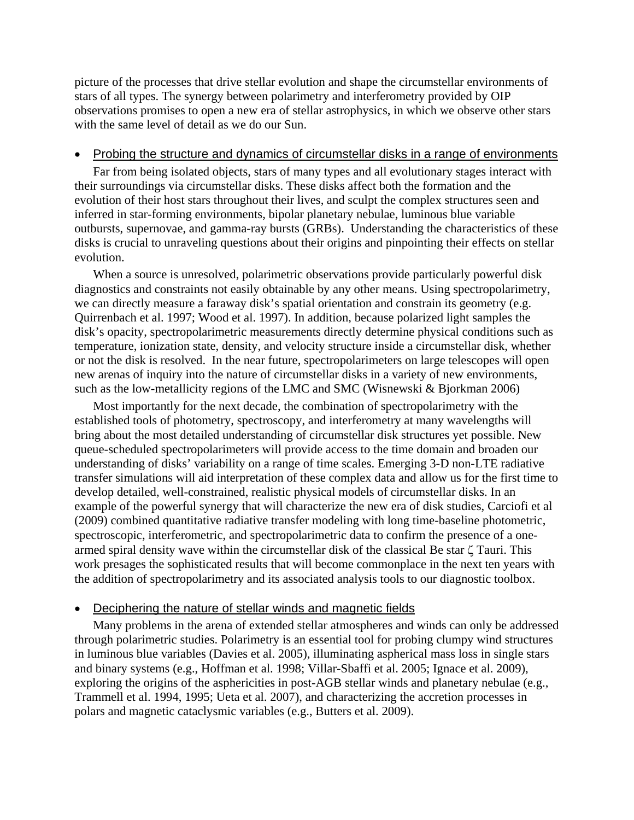picture of the processes that drive stellar evolution and shape the circumstellar environments of stars of all types. The synergy between polarimetry and interferometry provided by OIP observations promises to open a new era of stellar astrophysics, in which we observe other stars with the same level of detail as we do our Sun.

#### • Probing the structure and dynamics of circumstellar disks in a range of environments

Far from being isolated objects, stars of many types and all evolutionary stages interact with their surroundings via circumstellar disks. These disks affect both the formation and the evolution of their host stars throughout their lives, and sculpt the complex structures seen and inferred in star-forming environments, bipolar planetary nebulae, luminous blue variable outbursts, supernovae, and gamma-ray bursts (GRBs). Understanding the characteristics of these disks is crucial to unraveling questions about their origins and pinpointing their effects on stellar evolution.

When a source is unresolved, polarimetric observations provide particularly powerful disk diagnostics and constraints not easily obtainable by any other means. Using spectropolarimetry, we can directly measure a faraway disk's spatial orientation and constrain its geometry (e.g. Quirrenbach et al. 1997; Wood et al. 1997). In addition, because polarized light samples the disk's opacity, spectropolarimetric measurements directly determine physical conditions such as temperature, ionization state, density, and velocity structure inside a circumstellar disk, whether or not the disk is resolved. In the near future, spectropolarimeters on large telescopes will open new arenas of inquiry into the nature of circumstellar disks in a variety of new environments, such as the low-metallicity regions of the LMC and SMC (Wisnewski & Bjorkman 2006)

Most importantly for the next decade, the combination of spectropolarimetry with the established tools of photometry, spectroscopy, and interferometry at many wavelengths will bring about the most detailed understanding of circumstellar disk structures yet possible. New queue-scheduled spectropolarimeters will provide access to the time domain and broaden our understanding of disks' variability on a range of time scales. Emerging 3-D non-LTE radiative transfer simulations will aid interpretation of these complex data and allow us for the first time to develop detailed, well-constrained, realistic physical models of circumstellar disks. In an example of the powerful synergy that will characterize the new era of disk studies, Carciofi et al (2009) combined quantitative radiative transfer modeling with long time-baseline photometric, spectroscopic, interferometric, and spectropolarimetric data to confirm the presence of a onearmed spiral density wave within the circumstellar disk of the classical Be star ζ Tauri. This work presages the sophisticated results that will become commonplace in the next ten years with the addition of spectropolarimetry and its associated analysis tools to our diagnostic toolbox.

#### • Deciphering the nature of stellar winds and magnetic fields

Many problems in the arena of extended stellar atmospheres and winds can only be addressed through polarimetric studies. Polarimetry is an essential tool for probing clumpy wind structures in luminous blue variables (Davies et al. 2005), illuminating aspherical mass loss in single stars and binary systems (e.g., Hoffman et al. 1998; Villar-Sbaffi et al. 2005; Ignace et al. 2009), exploring the origins of the asphericities in post-AGB stellar winds and planetary nebulae (e.g., Trammell et al. 1994, 1995; Ueta et al. 2007), and characterizing the accretion processes in polars and magnetic cataclysmic variables (e.g., Butters et al. 2009).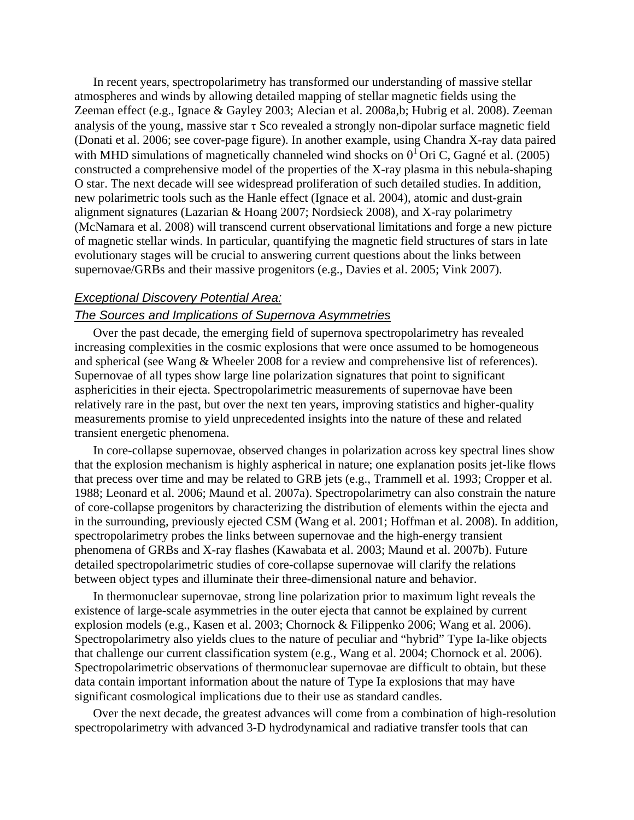In recent years, spectropolarimetry has transformed our understanding of massive stellar atmospheres and winds by allowing detailed mapping of stellar magnetic fields using the Zeeman effect (e.g., Ignace & Gayley 2003; Alecian et al. 2008a,b; Hubrig et al. 2008). Zeeman analysis of the young, massive star  $\tau$  Sco revealed a strongly non-dipolar surface magnetic field (Donati et al. 2006; see cover-page figure). In another example, using Chandra X-ray data paired with MHD simulations of magnetically channeled wind shocks on  $\theta^1$  Ori C, Gagné et al. (2005) constructed a comprehensive model of the properties of the X-ray plasma in this nebula-shaping O star. The next decade will see widespread proliferation of such detailed studies. In addition, new polarimetric tools such as the Hanle effect (Ignace et al. 2004), atomic and dust-grain alignment signatures (Lazarian & Hoang 2007; Nordsieck 2008), and X-ray polarimetry (McNamara et al. 2008) will transcend current observational limitations and forge a new picture of magnetic stellar winds. In particular, quantifying the magnetic field structures of stars in late evolutionary stages will be crucial to answering current questions about the links between supernovae/GRBs and their massive progenitors (e.g., Davies et al. 2005; Vink 2007).

#### *Exceptional Discovery Potential Area:*

## *The Sources and Implications of Supernova Asymmetries*

Over the past decade, the emerging field of supernova spectropolarimetry has revealed increasing complexities in the cosmic explosions that were once assumed to be homogeneous and spherical (see Wang & Wheeler 2008 for a review and comprehensive list of references). Supernovae of all types show large line polarization signatures that point to significant asphericities in their ejecta. Spectropolarimetric measurements of supernovae have been relatively rare in the past, but over the next ten years, improving statistics and higher-quality measurements promise to yield unprecedented insights into the nature of these and related transient energetic phenomena.

In core-collapse supernovae, observed changes in polarization across key spectral lines show that the explosion mechanism is highly aspherical in nature; one explanation posits jet-like flows that precess over time and may be related to GRB jets (e.g., Trammell et al. 1993; Cropper et al. 1988; Leonard et al. 2006; Maund et al. 2007a). Spectropolarimetry can also constrain the nature of core-collapse progenitors by characterizing the distribution of elements within the ejecta and in the surrounding, previously ejected CSM (Wang et al. 2001; Hoffman et al. 2008). In addition, spectropolarimetry probes the links between supernovae and the high-energy transient phenomena of GRBs and X-ray flashes (Kawabata et al. 2003; Maund et al. 2007b). Future detailed spectropolarimetric studies of core-collapse supernovae will clarify the relations between object types and illuminate their three-dimensional nature and behavior.

In thermonuclear supernovae, strong line polarization prior to maximum light reveals the existence of large-scale asymmetries in the outer ejecta that cannot be explained by current explosion models (e.g., Kasen et al. 2003; Chornock & Filippenko 2006; Wang et al. 2006). Spectropolarimetry also yields clues to the nature of peculiar and "hybrid" Type Ia-like objects that challenge our current classification system (e.g., Wang et al. 2004; Chornock et al. 2006). Spectropolarimetric observations of thermonuclear supernovae are difficult to obtain, but these data contain important information about the nature of Type Ia explosions that may have significant cosmological implications due to their use as standard candles.

Over the next decade, the greatest advances will come from a combination of high-resolution spectropolarimetry with advanced 3-D hydrodynamical and radiative transfer tools that can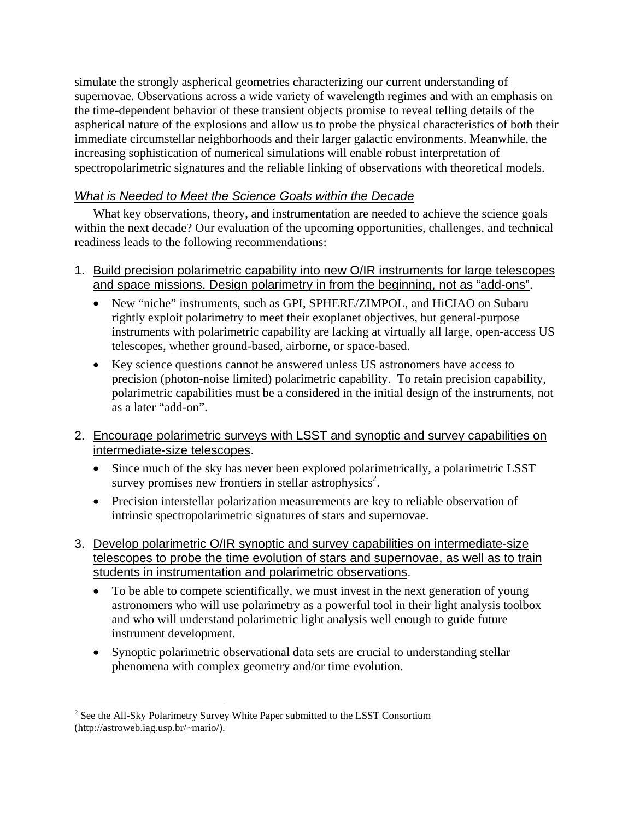simulate the strongly aspherical geometries characterizing our current understanding of supernovae. Observations across a wide variety of wavelength regimes and with an emphasis on the time-dependent behavior of these transient objects promise to reveal telling details of the aspherical nature of the explosions and allow us to probe the physical characteristics of both their immediate circumstellar neighborhoods and their larger galactic environments. Meanwhile, the increasing sophistication of numerical simulations will enable robust interpretation of spectropolarimetric signatures and the reliable linking of observations with theoretical models.

# *What is Needed to Meet the Science Goals within the Decade*

What key observations, theory, and instrumentation are needed to achieve the science goals within the next decade? Our evaluation of the upcoming opportunities, challenges, and technical readiness leads to the following recommendations:

- 1. Build precision polarimetric capability into new O/IR instruments for large telescopes and space missions. Design polarimetry in from the beginning, not as "add-ons".
	- New "niche" instruments, such as GPI, SPHERE/ZIMPOL, and HiCIAO on Subaru rightly exploit polarimetry to meet their exoplanet objectives, but general-purpose instruments with polarimetric capability are lacking at virtually all large, open-access US telescopes, whether ground-based, airborne, or space-based.
	- Key science questions cannot be answered unless US astronomers have access to precision (photon-noise limited) polarimetric capability. To retain precision capability, polarimetric capabilities must be a considered in the initial design of the instruments, not as a later "add-on".
- 2. Encourage polarimetric surveys with LSST and synoptic and survey capabilities on intermediate-size telescopes.
	- Since much of the sky has never been explored polarimetrically, a polarimetric LSST survey promises new frontiers in stellar astrophysics<sup>2</sup>.
	- Precision interstellar polarization measurements are key to reliable observation of intrinsic spectropolarimetric signatures of stars and supernovae.
- 3. Develop polarimetric O/IR synoptic and survey capabilities on intermediate-size telescopes to probe the time evolution of stars and supernovae, as well as to train students in instrumentation and polarimetric observations.
	- To be able to compete scientifically, we must invest in the next generation of young astronomers who will use polarimetry as a powerful tool in their light analysis toolbox and who will understand polarimetric light analysis well enough to guide future instrument development.
	- Synoptic polarimetric observational data sets are crucial to understanding stellar phenomena with complex geometry and/or time evolution.

<sup>1</sup>  $2^{2}$  See the All-Sky Polarimetry Survey White Paper submitted to the LSST Consortium (http://astroweb.iag.usp.br/~mario/).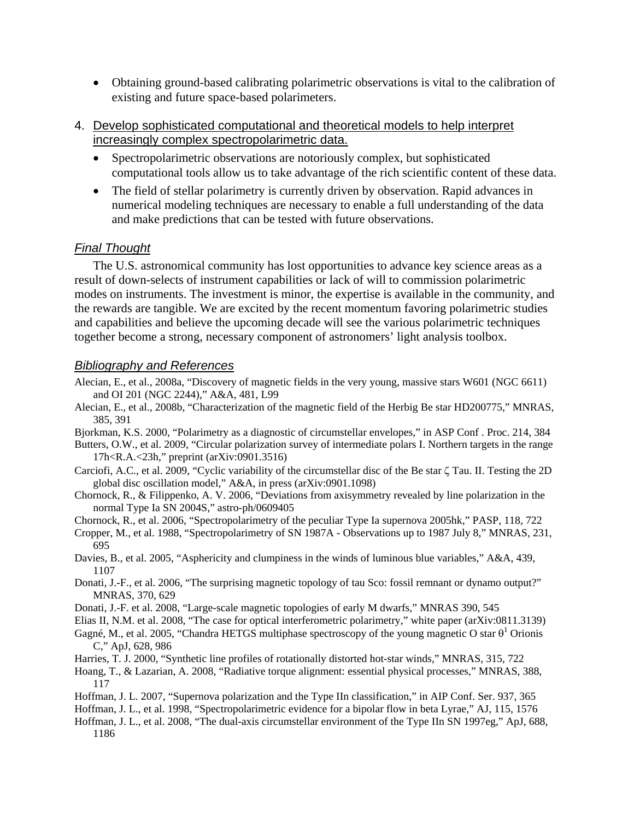- Obtaining ground-based calibrating polarimetric observations is vital to the calibration of existing and future space-based polarimeters.
- 4. Develop sophisticated computational and theoretical models to help interpret increasingly complex spectropolarimetric data.
	- Spectropolarimetric observations are notoriously complex, but sophisticated computational tools allow us to take advantage of the rich scientific content of these data.
	- The field of stellar polarimetry is currently driven by observation. Rapid advances in numerical modeling techniques are necessary to enable a full understanding of the data and make predictions that can be tested with future observations.

## *Final Thought*

The U.S. astronomical community has lost opportunities to advance key science areas as a result of down-selects of instrument capabilities or lack of will to commission polarimetric modes on instruments. The investment is minor, the expertise is available in the community, and the rewards are tangible. We are excited by the recent momentum favoring polarimetric studies and capabilities and believe the upcoming decade will see the various polarimetric techniques together become a strong, necessary component of astronomers' light analysis toolbox.

## *Bibliography and References*

- Alecian, E., et al., 2008a, "Discovery of magnetic fields in the very young, massive stars W601 (NGC 6611) and OI 201 (NGC 2244)," A&A, 481, L99
- Alecian, E., et al., 2008b, "Characterization of the magnetic field of the Herbig Be star HD200775," MNRAS, 385, 391
- Bjorkman, K.S. 2000, "Polarimetry as a diagnostic of circumstellar envelopes," in ASP Conf . Proc. 214, 384
- Butters, O.W., et al. 2009, "Circular polarization survey of intermediate polars I. Northern targets in the range 17h<R.A.<23h," preprint (arXiv:0901.3516)
- Carciofi, A.C., et al. 2009, "Cyclic variability of the circumstellar disc of the Be star ζ Tau. II. Testing the 2D global disc oscillation model," A&A, in press (arXiv:0901.1098)
- Chornock, R., & Filippenko, A. V. 2006, "Deviations from axisymmetry revealed by line polarization in the normal Type Ia SN 2004S," astro-ph/0609405
- Chornock, R., et al. 2006, "Spectropolarimetry of the peculiar Type Ia supernova 2005hk," PASP, 118, 722
- Cropper, M., et al. 1988, "Spectropolarimetry of SN 1987A Observations up to 1987 July 8," MNRAS, 231, 695
- Davies, B., et al. 2005, "Asphericity and clumpiness in the winds of luminous blue variables," A&A, 439, 1107
- Donati, J.-F., et al. 2006, "The surprising magnetic topology of tau Sco: fossil remnant or dynamo output?" MNRAS, 370, 629
- Donati, J.-F. et al. 2008, "Large-scale magnetic topologies of early M dwarfs," MNRAS 390, 545
- Elias II, N.M. et al. 2008, "The case for optical interferometric polarimetry," white paper (arXiv:0811.3139)
- Gagné, M., et al. 2005, "Chandra HETGS multiphase spectroscopy of the young magnetic O star  $\theta^1$  Orionis C," ApJ, 628, 986
- Harries, T. J. 2000, "Synthetic line profiles of rotationally distorted hot-star winds," MNRAS, 315, 722
- Hoang, T., & Lazarian, A. 2008, "Radiative torque alignment: essential physical processes," MNRAS, 388, 117
- Hoffman, J. L. 2007, "Supernova polarization and the Type IIn classification," in AIP Conf. Ser. 937, 365
- Hoffman, J. L., et al. 1998, "Spectropolarimetric evidence for a bipolar flow in beta Lyrae," AJ, 115, 1576
- Hoffman, J. L., et al. 2008, "The dual-axis circumstellar environment of the Type IIn SN 1997eg," ApJ, 688, 1186